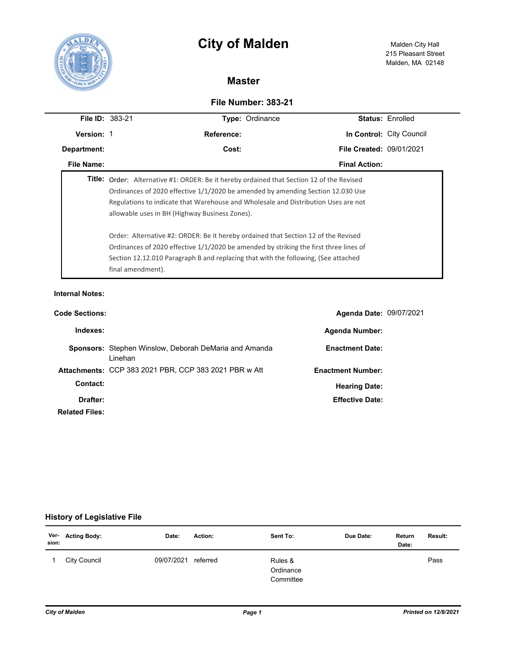



## **Master**

## **File Number: 383-21**

| <b>File ID: 383-21</b> |                                                                                                                                                                                                                                                                                                                                                                                                                                                                                                                                                                                             | Type: Ordinance      |                                 | <b>Status: Enrolled</b>  |  |  |
|------------------------|---------------------------------------------------------------------------------------------------------------------------------------------------------------------------------------------------------------------------------------------------------------------------------------------------------------------------------------------------------------------------------------------------------------------------------------------------------------------------------------------------------------------------------------------------------------------------------------------|----------------------|---------------------------------|--------------------------|--|--|
| Version: 1             |                                                                                                                                                                                                                                                                                                                                                                                                                                                                                                                                                                                             | <b>Reference:</b>    |                                 | In Control: City Council |  |  |
| Department:            |                                                                                                                                                                                                                                                                                                                                                                                                                                                                                                                                                                                             | Cost:                | <b>File Created: 09/01/2021</b> |                          |  |  |
| File Name:             |                                                                                                                                                                                                                                                                                                                                                                                                                                                                                                                                                                                             | <b>Final Action:</b> |                                 |                          |  |  |
|                        | Title: Order: Alternative #1: ORDER: Be it hereby ordained that Section 12 of the Revised<br>Ordinances of 2020 effective 1/1/2020 be amended by amending Section 12.030 Use<br>Regulations to indicate that Warehouse and Wholesale and Distribution Uses are not<br>allowable uses in BH (Highway Business Zones).<br>Order: Alternative #2: ORDER: Be it hereby ordained that Section 12 of the Revised<br>Ordinances of 2020 effective $1/1/2020$ be amended by striking the first three lines of<br>Section 12.12.010 Paragraph B and replacing that with the following, (See attached |                      |                                 |                          |  |  |
|                        | final amendment).                                                                                                                                                                                                                                                                                                                                                                                                                                                                                                                                                                           |                      |                                 |                          |  |  |
| <b>Internal Notes:</b> |                                                                                                                                                                                                                                                                                                                                                                                                                                                                                                                                                                                             |                      |                                 |                          |  |  |
| <b>Code Sections:</b>  |                                                                                                                                                                                                                                                                                                                                                                                                                                                                                                                                                                                             |                      | <b>Agenda Date: 09/07/2021</b>  |                          |  |  |

| Indexes:              |                                                                          | <b>Agenda Number:</b>    |
|-----------------------|--------------------------------------------------------------------------|--------------------------|
|                       | <b>Sponsors:</b> Stephen Winslow, Deborah DeMaria and Amanda<br>I inehan | <b>Enactment Date:</b>   |
|                       | <b>Attachments: CCP 383 2021 PBR, CCP 383 2021 PBR w Att</b>             | <b>Enactment Number:</b> |
| Contact:              |                                                                          | <b>Hearing Date:</b>     |
| Drafter:              |                                                                          | <b>Effective Date:</b>   |
| <b>Related Files:</b> |                                                                          |                          |

## **History of Legislative File**

| sion: | Ver- Acting Body: | Date:      | Action:  | Sent To:                          | Due Date: | Return<br>Date: | <b>Result:</b> |
|-------|-------------------|------------|----------|-----------------------------------|-----------|-----------------|----------------|
|       | City Council      | 09/07/2021 | referred | Rules &<br>Ordinance<br>Committee |           |                 | Pass           |